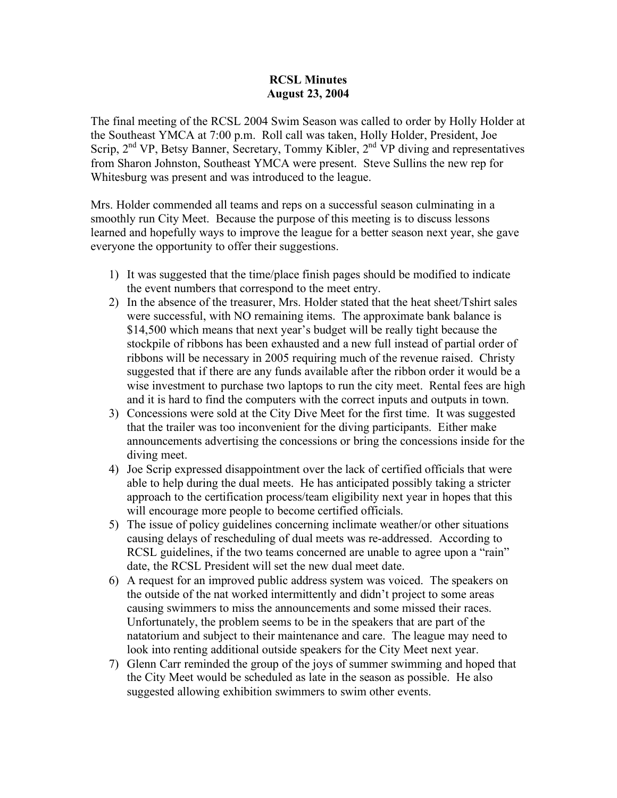## **RCSL Minutes August 23, 2004**

The final meeting of the RCSL 2004 Swim Season was called to order by Holly Holder at the Southeast YMCA at 7:00 p.m. Roll call was taken, Holly Holder, President, Joe Scrip,  $2<sup>nd</sup> VP$ , Betsy Banner, Secretary, Tommy Kibler,  $2<sup>nd</sup> VP$  diving and representatives from Sharon Johnston, Southeast YMCA were present. Steve Sullins the new rep for Whitesburg was present and was introduced to the league.

Mrs. Holder commended all teams and reps on a successful season culminating in a smoothly run City Meet. Because the purpose of this meeting is to discuss lessons learned and hopefully ways to improve the league for a better season next year, she gave everyone the opportunity to offer their suggestions.

- 1) It was suggested that the time/place finish pages should be modified to indicate the event numbers that correspond to the meet entry.
- 2) In the absence of the treasurer, Mrs. Holder stated that the heat sheet/Tshirt sales were successful, with NO remaining items. The approximate bank balance is \$14,500 which means that next year's budget will be really tight because the stockpile of ribbons has been exhausted and a new full instead of partial order of ribbons will be necessary in 2005 requiring much of the revenue raised. Christy suggested that if there are any funds available after the ribbon order it would be a wise investment to purchase two laptops to run the city meet. Rental fees are high and it is hard to find the computers with the correct inputs and outputs in town.
- 3) Concessions were sold at the City Dive Meet for the first time. It was suggested that the trailer was too inconvenient for the diving participants. Either make announcements advertising the concessions or bring the concessions inside for the diving meet.
- 4) Joe Scrip expressed disappointment over the lack of certified officials that were able to help during the dual meets. He has anticipated possibly taking a stricter approach to the certification process/team eligibility next year in hopes that this will encourage more people to become certified officials.
- 5) The issue of policy guidelines concerning inclimate weather/or other situations causing delays of rescheduling of dual meets was re-addressed. According to RCSL guidelines, if the two teams concerned are unable to agree upon a "rain" date, the RCSL President will set the new dual meet date.
- 6) A request for an improved public address system was voiced. The speakers on the outside of the nat worked intermittently and didn't project to some areas causing swimmers to miss the announcements and some missed their races. Unfortunately, the problem seems to be in the speakers that are part of the natatorium and subject to their maintenance and care. The league may need to look into renting additional outside speakers for the City Meet next year.
- 7) Glenn Carr reminded the group of the joys of summer swimming and hoped that the City Meet would be scheduled as late in the season as possible. He also suggested allowing exhibition swimmers to swim other events.